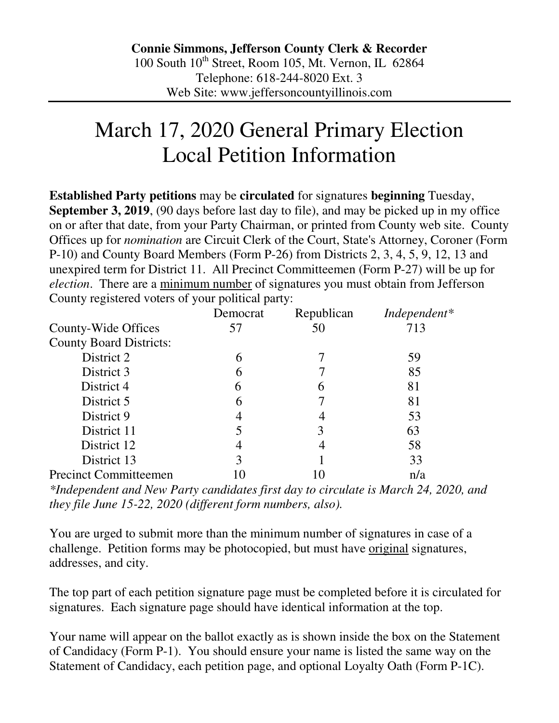## March 17, 2020 General Primary Election Local Petition Information

**Established Party petitions** may be **circulated** for signatures **beginning** Tuesday, **September 3, 2019**, (90 days before last day to file), and may be picked up in my office on or after that date, from your Party Chairman, or printed from County web site. County Offices up for *nomination* are Circuit Clerk of the Court, State's Attorney, Coroner (Form P-10) and County Board Members (Form P-26) from Districts 2, 3, 4, 5, 9, 12, 13 and unexpired term for District 11. All Precinct Committeemen (Form P-27) will be up for *election*. There are a minimum number of signatures you must obtain from Jefferson County registered voters of your political party:

|                                | Democrat | Republican | Independent* |
|--------------------------------|----------|------------|--------------|
| County-Wide Offices            | 57       | 50         | 713          |
| <b>County Board Districts:</b> |          |            |              |
| District 2                     |          |            | 59           |
| District 3                     | 6        |            | 85           |
| District 4                     | h        | h          | 81           |
| District 5                     | b        |            | 81           |
| District 9                     |          |            | 53           |
| District 11                    |          |            | 63           |
| District 12                    |          |            | 58           |
| District 13                    |          |            | 33           |
| <b>Precinct Committeemen</b>   |          |            | n/a          |

*\*Independent and New Party candidates first day to circulate is March 24, 2020, and they file June 15-22, 2020 (different form numbers, also).* 

You are urged to submit more than the minimum number of signatures in case of a challenge. Petition forms may be photocopied, but must have original signatures, addresses, and city.

The top part of each petition signature page must be completed before it is circulated for signatures. Each signature page should have identical information at the top.

Your name will appear on the ballot exactly as is shown inside the box on the Statement of Candidacy (Form P-1). You should ensure your name is listed the same way on the Statement of Candidacy, each petition page, and optional Loyalty Oath (Form P-1C).